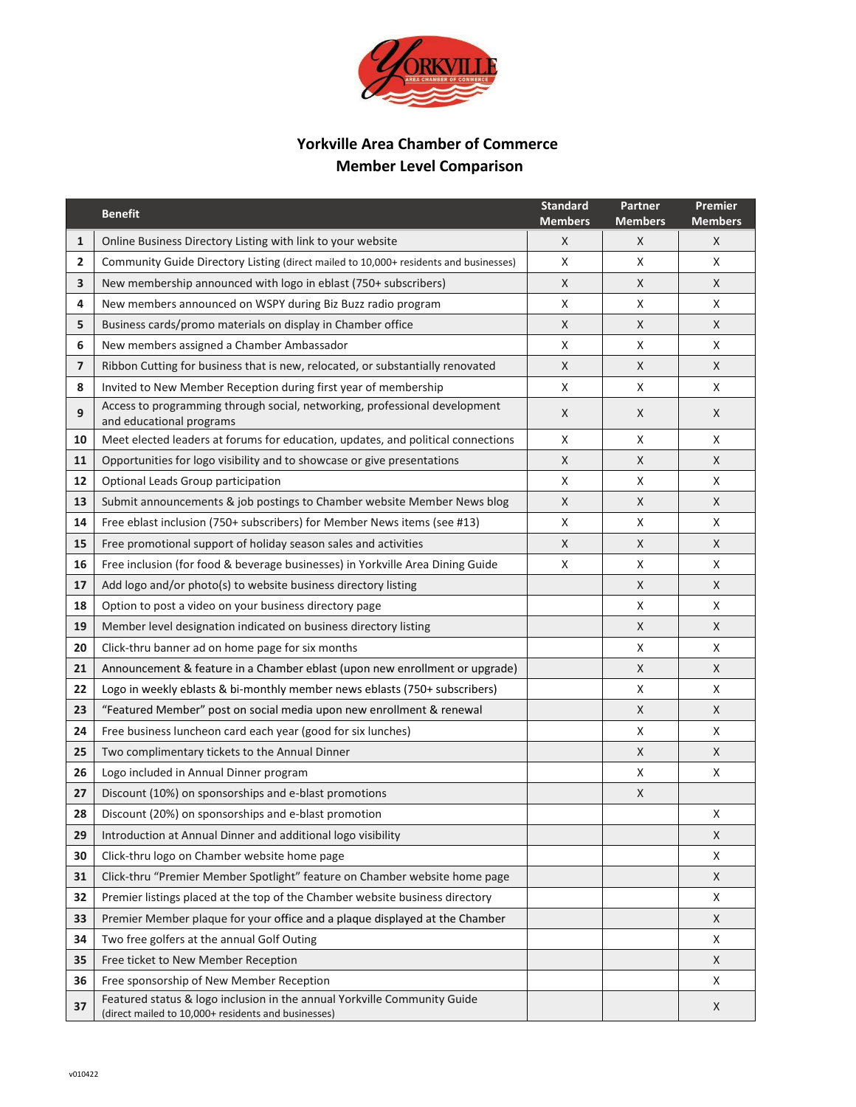

# **Yorkville Area Chamber of Commerce Member Level Comparison**

|                | <b>Benefit</b>                                                                                                                  | <b>Standard</b><br><b>Members</b> | <b>Partner</b><br><b>Members</b> | Premier<br><b>Members</b> |
|----------------|---------------------------------------------------------------------------------------------------------------------------------|-----------------------------------|----------------------------------|---------------------------|
| $\mathbf{1}$   | Online Business Directory Listing with link to your website                                                                     | X                                 | X                                | X                         |
| $\overline{2}$ | Community Guide Directory Listing (direct mailed to 10,000+ residents and businesses)                                           | Χ                                 | X                                | X                         |
| 3              | New membership announced with logo in eblast (750+ subscribers)                                                                 | X                                 | X                                | X                         |
| 4              | New members announced on WSPY during Biz Buzz radio program                                                                     | Χ                                 | Χ                                | X                         |
| 5              | Business cards/promo materials on display in Chamber office                                                                     | X                                 | X                                | X                         |
| 6              | New members assigned a Chamber Ambassador                                                                                       | Χ                                 | Χ                                | X                         |
| 7              | Ribbon Cutting for business that is new, relocated, or substantially renovated                                                  | X                                 | X                                | X                         |
| 8              | Invited to New Member Reception during first year of membership                                                                 | Χ                                 | Χ                                | X                         |
| 9              | Access to programming through social, networking, professional development<br>and educational programs                          | X                                 | X                                | X                         |
| 10             | Meet elected leaders at forums for education, updates, and political connections                                                | X                                 | X                                | X                         |
| 11             | Opportunities for logo visibility and to showcase or give presentations                                                         | X                                 | X                                | X                         |
| 12             | Optional Leads Group participation                                                                                              | X                                 | Χ                                | X                         |
| 13             | Submit announcements & job postings to Chamber website Member News blog                                                         | X                                 | X                                | X                         |
| 14             | Free eblast inclusion (750+ subscribers) for Member News items (see #13)                                                        | Χ                                 | X                                | X                         |
| 15             | Free promotional support of holiday season sales and activities                                                                 | X                                 | X                                | X                         |
| 16             | Free inclusion (for food & beverage businesses) in Yorkville Area Dining Guide                                                  | Χ                                 | Χ                                | X                         |
| 17             | Add logo and/or photo(s) to website business directory listing                                                                  |                                   | X                                | X                         |
| 18             | Option to post a video on your business directory page                                                                          |                                   | Χ                                | X                         |
| 19             | Member level designation indicated on business directory listing                                                                |                                   | X                                | X                         |
| 20             | Click-thru banner ad on home page for six months                                                                                |                                   | X                                | X                         |
| 21             | Announcement & feature in a Chamber eblast (upon new enrollment or upgrade)                                                     |                                   | X                                | X                         |
| 22             | Logo in weekly eblasts & bi-monthly member news eblasts (750+ subscribers)                                                      |                                   | Χ                                | X                         |
| 23             | "Featured Member" post on social media upon new enrollment & renewal                                                            |                                   | X                                | X                         |
| 24             | Free business luncheon card each year (good for six lunches)                                                                    |                                   | Χ                                | X                         |
| 25             | Two complimentary tickets to the Annual Dinner                                                                                  |                                   | X                                | X                         |
| 26             | Logo included in Annual Dinner program                                                                                          |                                   | Χ                                | X                         |
| 27             | Discount (10%) on sponsorships and e-blast promotions                                                                           |                                   | X                                |                           |
| 28             | Discount (20%) on sponsorships and e-blast promotion                                                                            |                                   |                                  | X                         |
| 29             | Introduction at Annual Dinner and additional logo visibility                                                                    |                                   |                                  | X                         |
| 30             | Click-thru logo on Chamber website home page                                                                                    |                                   |                                  | X                         |
| 31             | Click-thru "Premier Member Spotlight" feature on Chamber website home page                                                      |                                   |                                  | X                         |
| 32             | Premier listings placed at the top of the Chamber website business directory                                                    |                                   |                                  | X                         |
| 33             | Premier Member plaque for your office and a plaque displayed at the Chamber                                                     |                                   |                                  | X                         |
| 34             | Two free golfers at the annual Golf Outing                                                                                      |                                   |                                  | X                         |
| 35             | Free ticket to New Member Reception                                                                                             |                                   |                                  | X                         |
| 36             | Free sponsorship of New Member Reception                                                                                        |                                   |                                  | X                         |
| 37             | Featured status & logo inclusion in the annual Yorkville Community Guide<br>(direct mailed to 10,000+ residents and businesses) |                                   |                                  | X                         |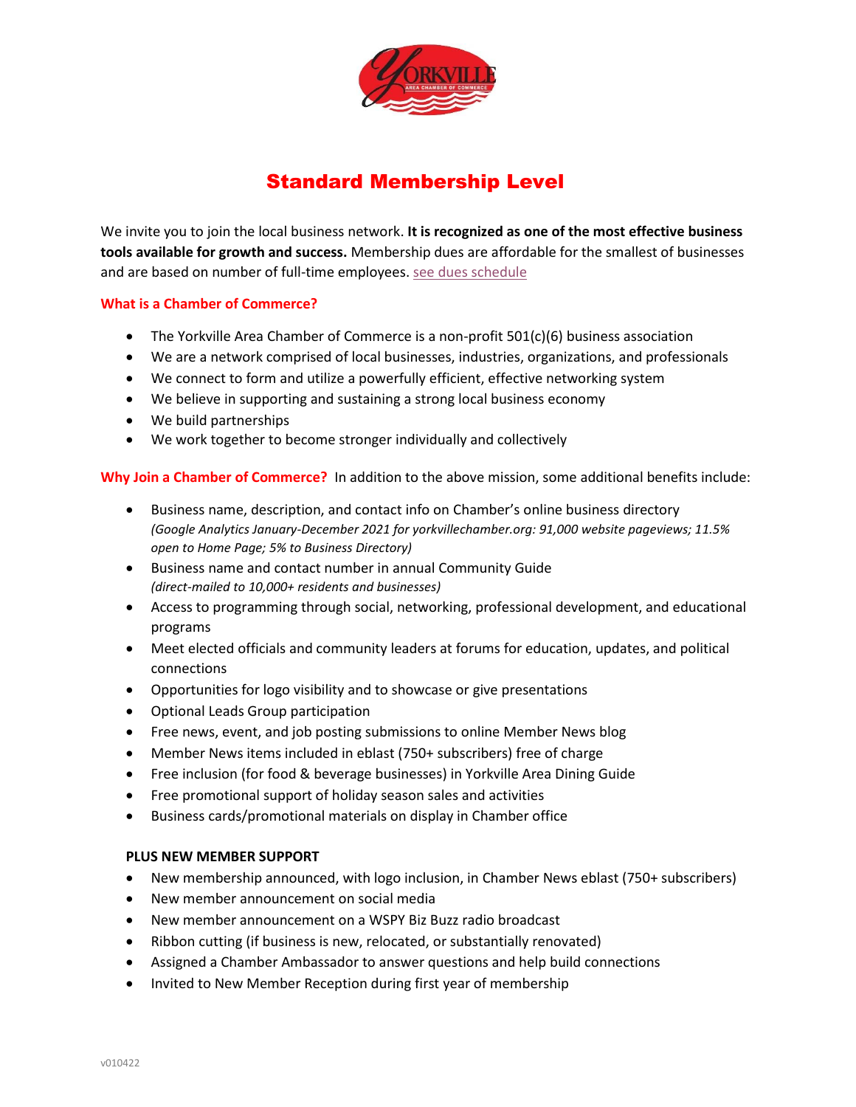

# Standard Membership Level

We invite you to join the local business network. **It is recognized as one of the most effective business tools available for growth and success.** Membership dues are affordable for the smallest of businesses and are based on number of full-time employees. [see dues schedule](https://www.yorkvillechamber.org/become-a-member/)

## **What is a Chamber of Commerce?**

- The Yorkville Area Chamber of Commerce is a non-profit 501(c)(6) business association
- We are a network comprised of local businesses, industries, organizations, and professionals
- We connect to form and utilize a powerfully efficient, effective networking system
- We believe in supporting and sustaining a strong local business economy
- We build partnerships
- We work together to become stronger individually and collectively

**Why Join a Chamber of Commerce?** In addition to the above mission, some additional benefits include:

- Business name, description, and contact info on Chamber's online business directory *(Google Analytics January-December 2021 for yorkvillechamber.org: 91,000 website pageviews; 11.5% open to Home Page; 5% to Business Directory)*
- Business name and contact number in annual Community Guide *(direct-mailed to 10,000+ residents and businesses)*
- Access to programming through social, networking, professional development, and educational programs
- Meet elected officials and community leaders at forums for education, updates, and political connections
- Opportunities for logo visibility and to showcase or give presentations
- Optional Leads Group participation
- Free news, event, and job posting submissions to online Member News blog
- Member News items included in eblast (750+ subscribers) free of charge
- Free inclusion (for food & beverage businesses) in Yorkville Area Dining Guide
- Free promotional support of holiday season sales and activities
- Business cards/promotional materials on display in Chamber office

## **PLUS NEW MEMBER SUPPORT**

- New membership announced, with logo inclusion, in Chamber News eblast (750+ subscribers)
- New member announcement on social media
- New member announcement on a WSPY Biz Buzz radio broadcast
- Ribbon cutting (if business is new, relocated, or substantially renovated)
- Assigned a Chamber Ambassador to answer questions and help build connections
- Invited to New Member Reception during first year of membership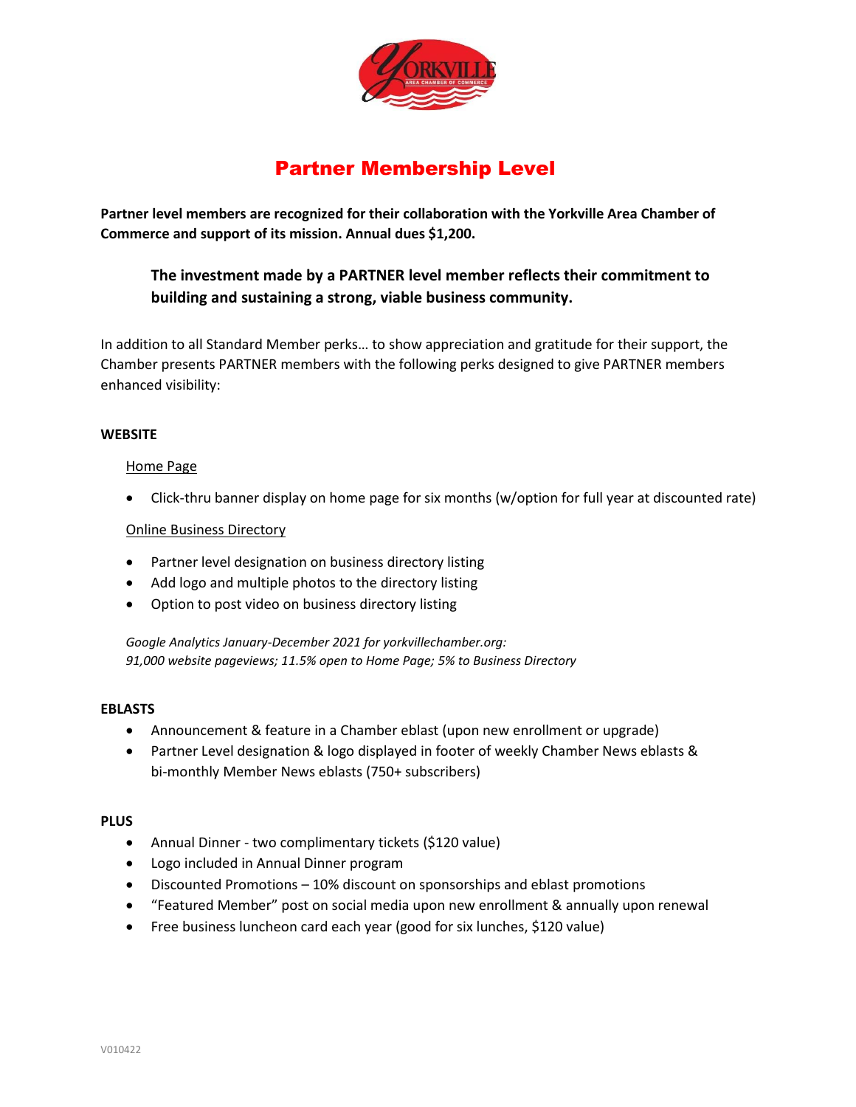

# Partner Membership Level

**Partner level members are recognized for their collaboration with the Yorkville Area Chamber of Commerce and support of its mission. Annual dues \$1,200.**

# **The investment made by a PARTNER level member reflects their commitment to building and sustaining a strong, viable business community.**

In addition to all Standard Member perks… to show appreciation and gratitude for their support, the Chamber presents PARTNER members with the following perks designed to give PARTNER members enhanced visibility:

#### **WEBSITE**

#### Home Page

• Click-thru banner display on home page for six months (w/option for full year at discounted rate)

#### Online Business Directory

- Partner level designation on business directory listing
- Add logo and multiple photos to the directory listing
- Option to post video on business directory listing

*Google Analytics January-December 2021 for yorkvillechamber.org: 91,000 website pageviews; 11.5% open to Home Page; 5% to Business Directory*

#### **EBLASTS**

- Announcement & feature in a Chamber eblast (upon new enrollment or upgrade)
- Partner Level designation & logo displayed in footer of weekly Chamber News eblasts & bi-monthly Member News eblasts (750+ subscribers)

#### **PLUS**

- Annual Dinner two complimentary tickets (\$120 value)
- Logo included in Annual Dinner program
- Discounted Promotions 10% discount on sponsorships and eblast promotions
- "Featured Member" post on social media upon new enrollment & annually upon renewal
- Free business luncheon card each year (good for six lunches, \$120 value)